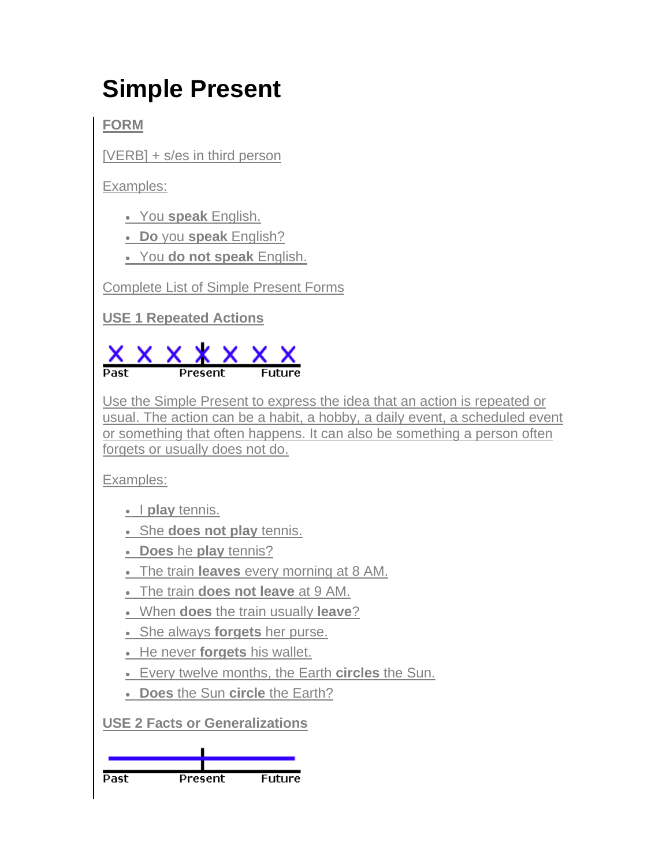## **Simple Present**

**FORM**

[VERB] + s/es in third person

Examples:

You **speak** English.

**Do** you **speak** English?

You **do not speak** English.

Complete List of Simple Present Forms

**USE 1 Repeated Actions**



Use the Simple Present to express the idea that an action is repeated or usual. The action can be a habit, a hobby, a daily event, a scheduled event or something that often happens. It can also be something a person often forgets or usually does not do.

Examples:

• I play tennis.

She **does not play** tennis.

**Does** he **play** tennis?

- The train **leaves** every morning at 8 AM.
- The train **does not leave** at 9 AM.
- When **does** the train usually **leave**?
- She always **forgets** her purse.
- He never **forgets** his wallet.
- Every twelve months, the Earth **circles** the Sun.
- **Does** the Sun **circle** the Earth?

**USE 2 Facts or Generalizations**

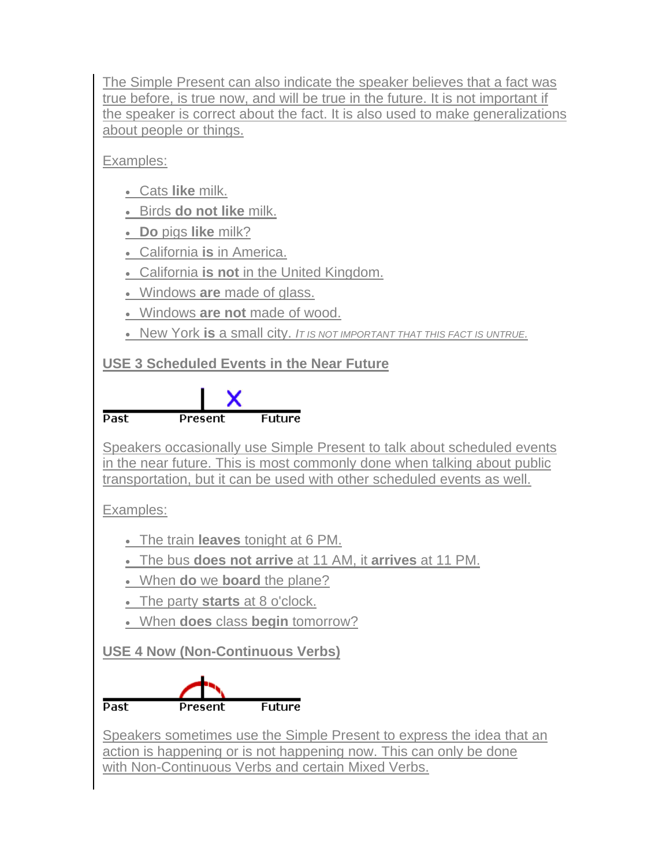The Simple Present can also indicate the speaker believes that a fact was true before, is true now, and will be true in the future. It is not important if the speaker is correct about the fact. It is also used to make generalizations about people or things.

Examples:

- Cats **like** milk.
- Birds **do not like** milk.
- **Do** pigs **like** milk?
- California **is** in America.
- California **is not** in the United Kingdom.
- Windows **are** made of glass.
- Windows **are not** made of wood.
- New York **is** a small city. *IT IS NOT IMPORTANT THAT THIS FACT IS UNTRUE.*

**USE 3 Scheduled Events in the Near Future**



Speakers occasionally use Simple Present to talk about scheduled events in the near future. This is most commonly done when talking about public transportation, but it can be used with other scheduled events as well.

Examples:

The train **leaves** tonight at 6 PM.

The bus **does not arrive** at 11 AM, it **arrives** at 11 PM.

- When **do** we **board** the plane?
- The party **starts** at 8 o'clock.
- When **does** class **begin** tomorrow?

**USE 4 Now (Non-Continuous Verbs)**



Speakers sometimes use the Simple Present to express the idea that an action is happening or is not happening now. This can only be done with Non-Continuous Verbs and certain Mixed Verbs.